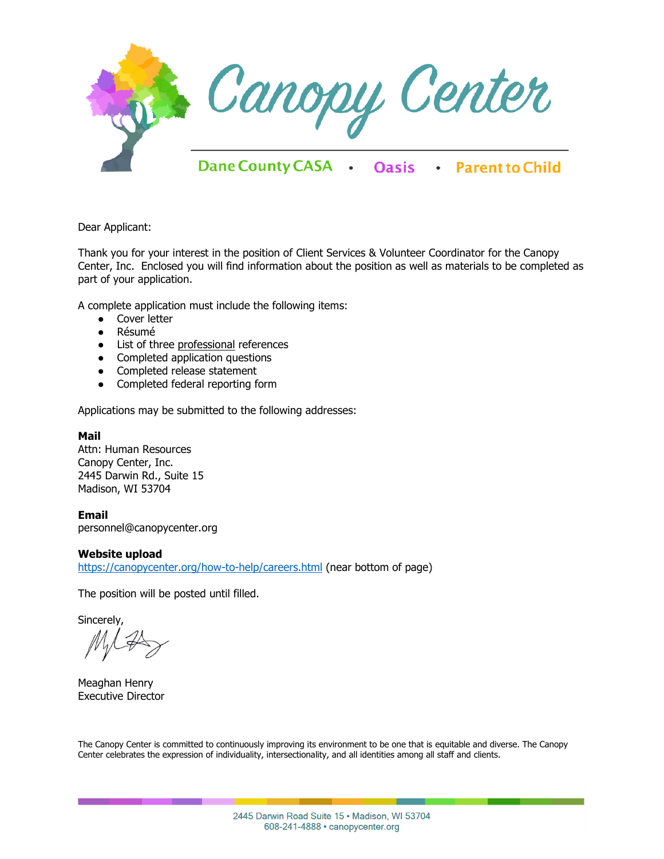

Dear Applicant:

Thank you for your interest in the position of Client Services & Volunteer Coordinator for the Canopy Center, Inc. Enclosed you will find information about the position as well as materials to be completed as part of your application.

A complete application must include the following items:

- Cover letter
- Résumé
- List of three professional references
- Completed application questions
- Completed release statement
- Completed federal reporting form

Applications may be submitted to the following addresses:

## **Mail**

Attn: Human Resources Canopy Center, Inc. 2445 Darwin Rd., Suite 15 Madison, WI 53704

**Email** personnel@canopycenter.org

## **Website upload**

<https://canopycenter.org/how-to-help/careers.html> (near bottom of page)

The position will be posted until filled.

Sincerely,

Meaghan Henry Executive Director

The Canopy Center is committed to continuously improving its environment to be one that is equitable and diverse. The Canopy Center celebrates the expression of individuality, intersectionality, and all identities among all staff and clients.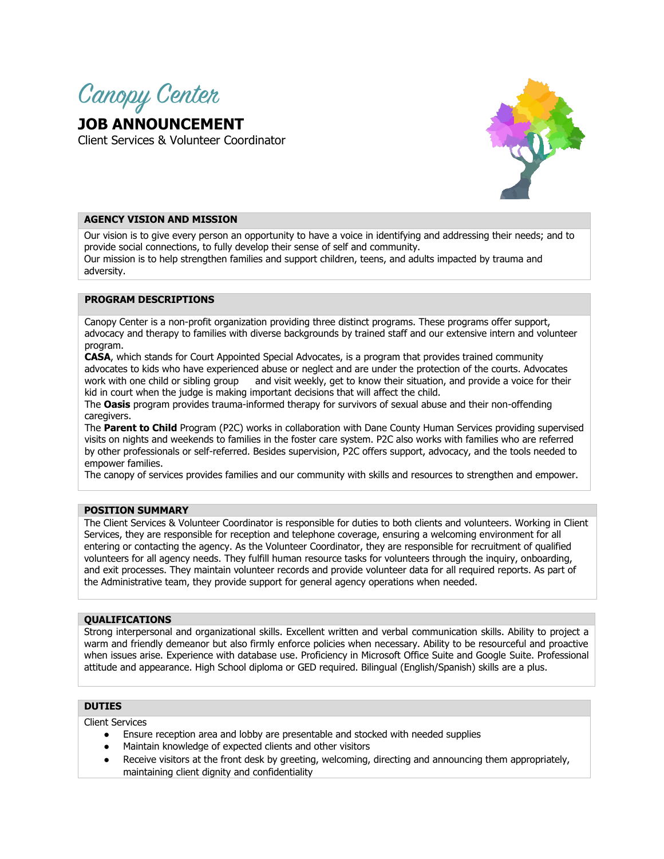

**JOB ANNOUNCEMENT** Client Services & Volunteer Coordinator



# **AGENCY VISION AND MISSION**

Our vision is to give every person an opportunity to have a voice in identifying and addressing their needs; and to provide social connections, to fully develop their sense of self and community. Our mission is to help strengthen families and support children, teens, and adults impacted by trauma and adversity.

## **PROGRAM DESCRIPTIONS**

Canopy Center is a non-profit organization providing three distinct programs. These programs offer support, advocacy and therapy to families with diverse backgrounds by trained staff and our extensive intern and volunteer program.

**CASA**, which stands for Court Appointed Special Advocates, is a program that provides trained community advocates to kids who have experienced abuse or neglect and are under the protection of the courts. Advocates work with one child or sibling group and visit weekly, get to know their situation, and provide a voice for their kid in court when the judge is making important decisions that will affect the child.

The **Oasis** program provides trauma-informed therapy for survivors of sexual abuse and their non-offending caregivers.

The **Parent to Child** Program (P2C) works in collaboration with Dane County Human Services providing supervised visits on nights and weekends to families in the foster care system. P2C also works with families who are referred by other professionals or self-referred. Besides supervision, P2C offers support, advocacy, and the tools needed to empower families.

The canopy of services provides families and our community with skills and resources to strengthen and empower.

#### **POSITION SUMMARY**

The Client Services & Volunteer Coordinator is responsible for duties to both clients and volunteers. Working in Client Services, they are responsible for reception and telephone coverage, ensuring a welcoming environment for all entering or contacting the agency. As the Volunteer Coordinator, they are responsible for recruitment of qualified volunteers for all agency needs. They fulfill human resource tasks for volunteers through the inquiry, onboarding, and exit processes. They maintain volunteer records and provide volunteer data for all required reports. As part of the Administrative team, they provide support for general agency operations when needed.

#### **QUALIFICATIONS**

Strong interpersonal and organizational skills. Excellent written and verbal communication skills. Ability to project a warm and friendly demeanor but also firmly enforce policies when necessary. Ability to be resourceful and proactive when issues arise. Experience with database use. Proficiency in Microsoft Office Suite and Google Suite. Professional attitude and appearance. High School diploma or GED required. Bilingual (English/Spanish) skills are a plus.

## **DUTIES**

Client Services

- Ensure reception area and lobby are presentable and stocked with needed supplies
- Maintain knowledge of expected clients and other visitors
- Receive visitors at the front desk by greeting, welcoming, directing and announcing them appropriately, maintaining client dignity and confidentiality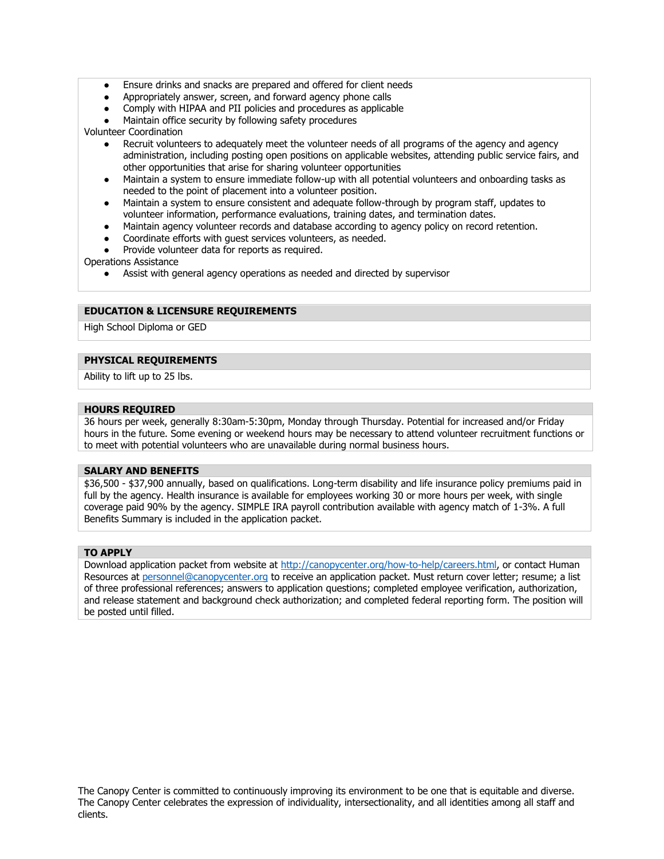- Ensure drinks and snacks are prepared and offered for client needs
- Appropriately answer, screen, and forward agency phone calls
- Comply with HIPAA and PII policies and procedures as applicable
- Maintain office security by following safety procedures

Volunteer Coordination

- Recruit volunteers to adequately meet the volunteer needs of all programs of the agency and agency administration, including posting open positions on applicable websites, attending public service fairs, and other opportunities that arise for sharing volunteer opportunities
- Maintain a system to ensure immediate follow-up with all potential volunteers and onboarding tasks as needed to the point of placement into a volunteer position.
- Maintain a system to ensure consistent and adequate follow-through by program staff, updates to volunteer information, performance evaluations, training dates, and termination dates.
- Maintain agency volunteer records and database according to agency policy on record retention.
- Coordinate efforts with quest services volunteers, as needed.
- Provide volunteer data for reports as required.

Operations Assistance

● Assist with general agency operations as needed and directed by supervisor

## **EDUCATION & LICENSURE REQUIREMENTS**

High School Diploma or GED

#### **PHYSICAL REQUIREMENTS**

Ability to lift up to 25 lbs.

#### **HOURS REQUIRED**

36 hours per week, generally 8:30am-5:30pm, Monday through Thursday. Potential for increased and/or Friday hours in the future. Some evening or weekend hours may be necessary to attend volunteer recruitment functions or to meet with potential volunteers who are unavailable during normal business hours.

#### **SALARY AND BENEFITS**

\$36,500 - \$37,900 annually, based on qualifications. Long-term disability and life insurance policy premiums paid in full by the agency. Health insurance is available for employees working 30 or more hours per week, with single coverage paid 90% by the agency. SIMPLE IRA payroll contribution available with agency match of 1-3%. A full Benefits Summary is included in the application packet.

#### **TO APPLY**

Download application packet from website at [http://canopycenter.org/how-to-help/careers.html,](http://canopycenter.org/how-to-help/careers.html) or contact Human Resources at [personnel@canopycenter.org](mailto:personnel@canopycenter.org) to receive an application packet. Must return cover letter; resume; a list of three professional references; answers to application questions; completed employee verification, authorization, and release statement and background check authorization; and completed federal reporting form. The position will be posted until filled.

The Canopy Center is committed to continuously improving its environment to be one that is equitable and diverse. The Canopy Center celebrates the expression of individuality, intersectionality, and all identities among all staff and clients.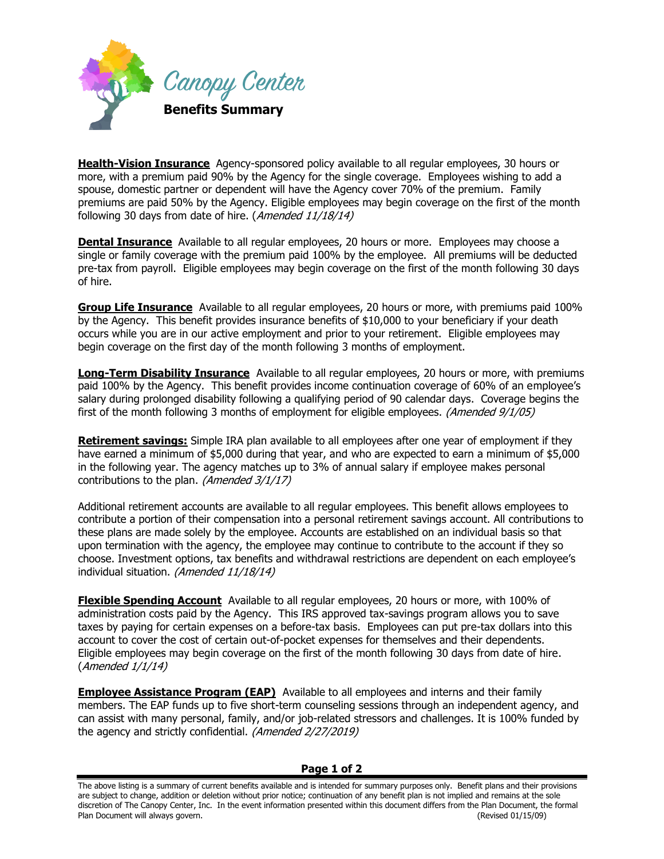

**Health-Vision Insurance** Agency-sponsored policy available to all regular employees, 30 hours or more, with a premium paid 90% by the Agency for the single coverage. Employees wishing to add a spouse, domestic partner or dependent will have the Agency cover 70% of the premium. Family premiums are paid 50% by the Agency. Eligible employees may begin coverage on the first of the month following 30 days from date of hire. (Amended 11/18/14)

**Dental Insurance** Available to all regular employees, 20 hours or more. Employees may choose a single or family coverage with the premium paid 100% by the employee. All premiums will be deducted pre-tax from payroll. Eligible employees may begin coverage on the first of the month following 30 days of hire.

**Group Life Insurance** Available to all regular employees, 20 hours or more, with premiums paid 100% by the Agency. This benefit provides insurance benefits of \$10,000 to your beneficiary if your death occurs while you are in our active employment and prior to your retirement. Eligible employees may begin coverage on the first day of the month following 3 months of employment.

**Long-Term Disability Insurance** Available to all regular employees, 20 hours or more, with premiums paid 100% by the Agency. This benefit provides income continuation coverage of 60% of an employee's salary during prolonged disability following a qualifying period of 90 calendar days. Coverage begins the first of the month following 3 months of employment for eligible employees. (Amended 9/1/05)

**Retirement savings:** Simple IRA plan available to all employees after one year of employment if they have earned a minimum of \$5,000 during that year, and who are expected to earn a minimum of \$5,000 in the following year. The agency matches up to 3% of annual salary if employee makes personal contributions to the plan. (Amended 3/1/17)

Additional retirement accounts are available to all regular employees. This benefit allows employees to contribute a portion of their compensation into a personal retirement savings account. All contributions to these plans are made solely by the employee. Accounts are established on an individual basis so that upon termination with the agency, the employee may continue to contribute to the account if they so choose. Investment options, tax benefits and withdrawal restrictions are dependent on each employee's individual situation. (Amended 11/18/14)

**Flexible Spending Account** Available to all regular employees, 20 hours or more, with 100% of administration costs paid by the Agency. This IRS approved tax-savings program allows you to save taxes by paying for certain expenses on a before-tax basis. Employees can put pre-tax dollars into this account to cover the cost of certain out-of-pocket expenses for themselves and their dependents. Eligible employees may begin coverage on the first of the month following 30 days from date of hire. (Amended 1/1/14)

**Employee Assistance Program (EAP)** Available to all employees and interns and their family members. The EAP funds up to five short-term counseling sessions through an independent agency, and can assist with many personal, family, and/or job-related stressors and challenges. It is 100% funded by the agency and strictly confidential. (Amended 2/27/2019)

## **Page 1 of 2**

The above listing is a summary of current benefits available and is intended for summary purposes only. Benefit plans and their provisions are subject to change, addition or deletion without prior notice; continuation of any benefit plan is not implied and remains at the sole discretion of The Canopy Center, Inc. In the event information presented within this document differs from the Plan Document, the formal Plan Document will always govern. (Revised 01/15/09)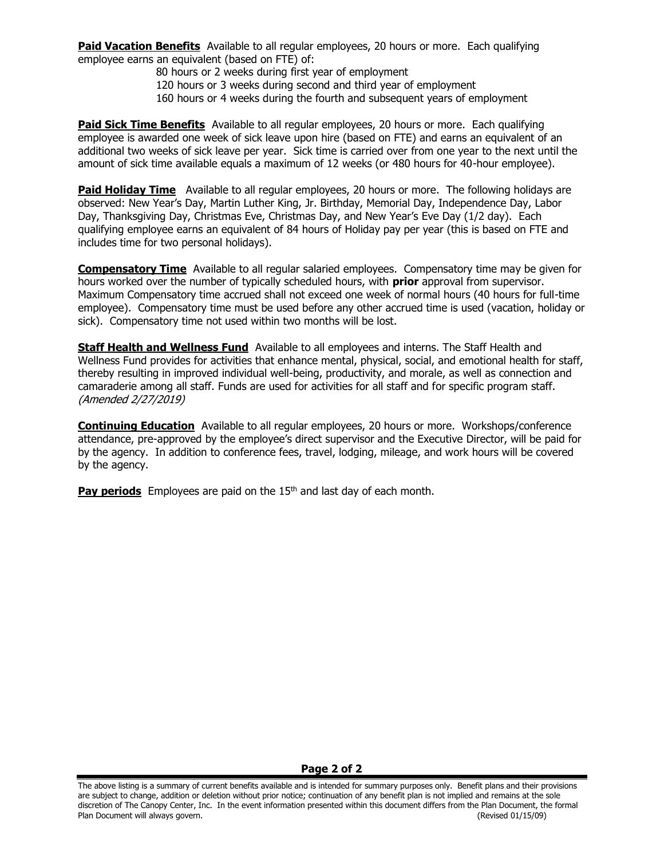**Paid Vacation Benefits** Available to all regular employees, 20 hours or more. Each qualifying employee earns an equivalent (based on FTE) of:

80 hours or 2 weeks during first year of employment 120 hours or 3 weeks during second and third year of employment 160 hours or 4 weeks during the fourth and subsequent years of employment

**Paid Sick Time Benefits** Available to all regular employees, 20 hours or more. Each qualifying employee is awarded one week of sick leave upon hire (based on FTE) and earns an equivalent of an additional two weeks of sick leave per year. Sick time is carried over from one year to the next until the amount of sick time available equals a maximum of 12 weeks (or 480 hours for 40-hour employee).

**Paid Holiday Time** Available to all regular employees, 20 hours or more. The following holidays are observed: New Year's Day, Martin Luther King, Jr. Birthday, Memorial Day, Independence Day, Labor Day, Thanksgiving Day, Christmas Eve, Christmas Day, and New Year's Eve Day (1/2 day). Each qualifying employee earns an equivalent of 84 hours of Holiday pay per year (this is based on FTE and includes time for two personal holidays).

**Compensatory Time** Available to all regular salaried employees. Compensatory time may be given for hours worked over the number of typically scheduled hours, with **prior** approval from supervisor. Maximum Compensatory time accrued shall not exceed one week of normal hours (40 hours for full-time employee). Compensatory time must be used before any other accrued time is used (vacation, holiday or sick). Compensatory time not used within two months will be lost.

**Staff Health and Wellness Fund** Available to all employees and interns. The Staff Health and Wellness Fund provides for activities that enhance mental, physical, social, and emotional health for staff, thereby resulting in improved individual well-being, productivity, and morale, as well as connection and camaraderie among all staff. Funds are used for activities for all staff and for specific program staff. (Amended 2/27/2019)

**Continuing Education** Available to all regular employees, 20 hours or more. Workshops/conference attendance, pre-approved by the employee's direct supervisor and the Executive Director, will be paid for by the agency. In addition to conference fees, travel, lodging, mileage, and work hours will be covered by the agency.

**Pay periods** Employees are paid on the 15<sup>th</sup> and last day of each month.

## **Page 2 of 2**

The above listing is a summary of current benefits available and is intended for summary purposes only. Benefit plans and their provisions are subject to change, addition or deletion without prior notice; continuation of any benefit plan is not implied and remains at the sole discretion of The Canopy Center, Inc. In the event information presented within this document differs from the Plan Document, the formal Plan Document will always govern. (Revised 01/15/09)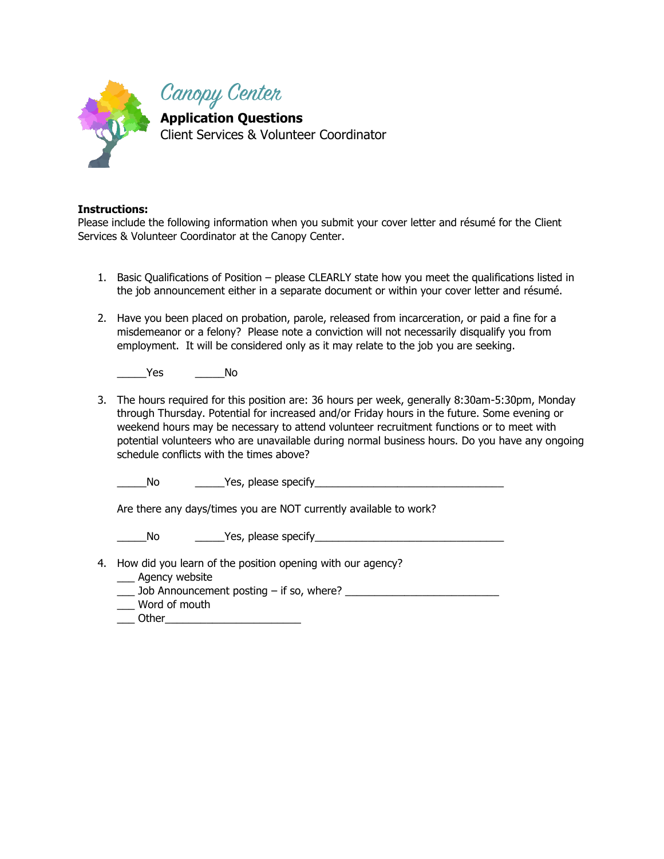

# **Instructions:**

Please include the following information when you submit your cover letter and résumé for the Client Services & Volunteer Coordinator at the Canopy Center.

- 1. Basic Qualifications of Position please CLEARLY state how you meet the qualifications listed in the job announcement either in a separate document or within your cover letter and résumé.
- 2. Have you been placed on probation, parole, released from incarceration, or paid a fine for a misdemeanor or a felony? Please note a conviction will not necessarily disqualify you from employment. It will be considered only as it may relate to the job you are seeking.

\_\_\_\_\_Yes \_\_\_\_\_No

3. The hours required for this position are: 36 hours per week, generally 8:30am-5:30pm, Monday through Thursday. Potential for increased and/or Friday hours in the future. Some evening or weekend hours may be necessary to attend volunteer recruitment functions or to meet with potential volunteers who are unavailable during normal business hours. Do you have any ongoing schedule conflicts with the times above?

\_\_\_\_\_No \_\_\_\_\_Yes, please specify\_\_\_\_\_\_\_\_\_\_\_\_\_\_\_\_\_\_\_\_\_\_\_\_\_\_\_\_\_\_\_\_

Are there any days/times you are NOT currently available to work?

\_\_\_\_\_No \_\_\_\_\_Yes, please specify\_\_\_\_\_\_\_\_\_\_\_\_\_\_\_\_\_\_\_\_\_\_\_\_\_\_\_\_\_\_\_\_

- 4. How did you learn of the position opening with our agency?
	- \_\_\_ Agency website
	- \_\_\_ Job Announcement posting if so, where? \_\_\_\_\_\_\_\_\_\_\_\_\_\_\_\_\_\_\_\_\_\_\_\_\_\_
	- \_\_\_ Word of mouth
	- \_\_\_ Other\_\_\_\_\_\_\_\_\_\_\_\_\_\_\_\_\_\_\_\_\_\_\_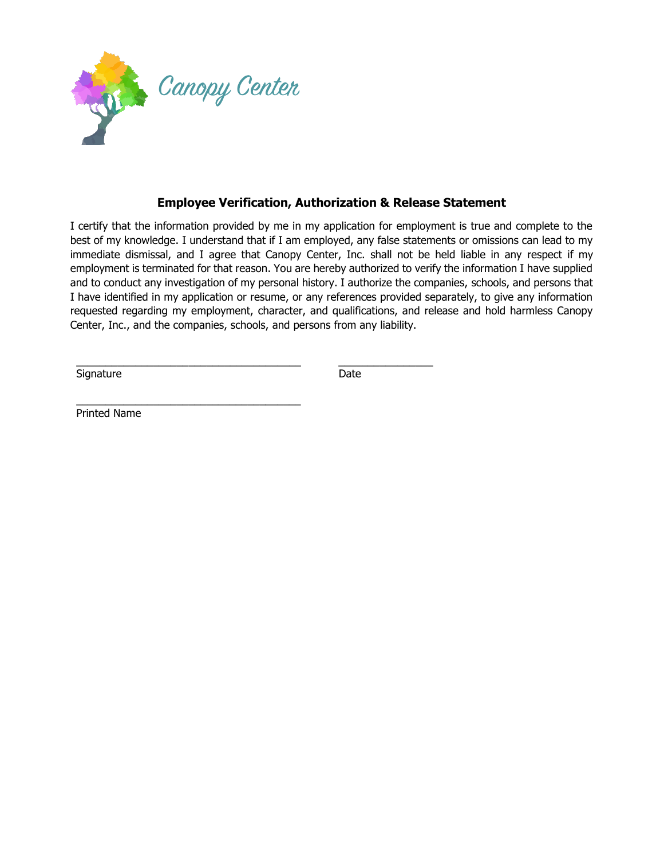

\_\_\_\_\_\_\_\_\_\_\_\_\_\_\_\_\_\_\_\_\_\_\_\_\_\_\_\_\_\_\_\_\_\_\_\_\_\_

# **Employee Verification, Authorization & Release Statement**

I certify that the information provided by me in my application for employment is true and complete to the best of my knowledge. I understand that if I am employed, any false statements or omissions can lead to my immediate dismissal, and I agree that Canopy Center, Inc. shall not be held liable in any respect if my employment is terminated for that reason. You are hereby authorized to verify the information I have supplied and to conduct any investigation of my personal history. I authorize the companies, schools, and persons that I have identified in my application or resume, or any references provided separately, to give any information requested regarding my employment, character, and qualifications, and release and hold harmless Canopy Center, Inc., and the companies, schools, and persons from any liability.

\_\_\_\_\_\_\_\_\_\_\_\_\_\_\_\_\_\_\_\_\_\_\_\_\_\_\_\_\_\_\_\_\_\_\_\_\_\_ \_\_\_\_\_\_\_\_\_\_\_\_\_\_\_\_

Signature Date Date

Printed Name